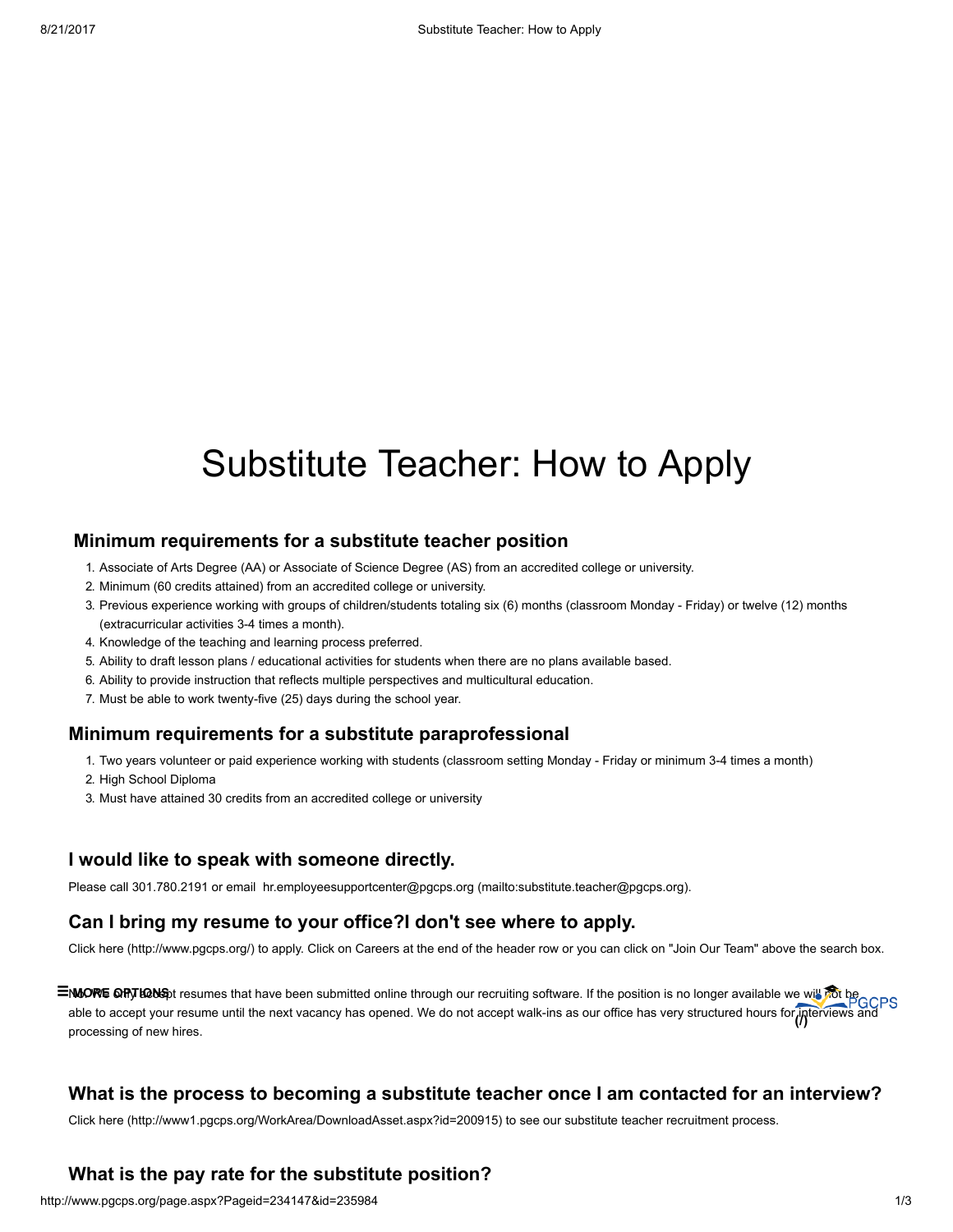# Substitute Teacher: How to Apply

### Minimum requirements for a substitute teacher position

- 1. Associate of Arts Degree (AA) or Associate of Science Degree (AS) from an accredited college or university.
- 2. Minimum (60 credits attained) from an accredited college or university.
- 3. Previous experience working with groups of children/students totaling six (6) months (classroom Monday Friday) or twelve (12) months (extracurricular activities 3-4 times a month).
- 4. Knowledge of the teaching and learning process preferred.
- 5. Ability to draft lesson plans / educational activities for students when there are no plans available based.
- 6. Ability to provide instruction that reflects multiple perspectives and multicultural education.
- 7. Must be able to work twenty-five (25) days during the school year.

#### Minimum requirements for a substitute paraprofessional

- 1. Two years volunteer or paid experience working with students (classroom setting Monday Friday or minimum 3-4 times a month)
- 2. High School Diploma
- 3. Must have attained 30 credits from an accredited college or university

### I would like to speak with someone directly.

Please call 301.780.2191 or email [hr.employeesupportcenter@pgcps.org](mailto:substitute.teacher@pgcps.org) (mailto:substitute.teacher@pgcps.org).

## Can I bring my resume to your office?I don't see where to apply.

Click here [\(http://www.pgcps.org/\)](http://www.pgcps.org/) to apply. Click on Careers at the end of the header row or you can click on "Join Our Team" above the search box.

**NoOWE GRIT LONS** tresumes that have been submitted online through our recruiting software. If the position is no longer available we will not be able to accept your resume until the next vacancy has opened. We do not accept walk-ins as our office has very structured hours for [interviews](http://www.pgcps.org/) and processing of new hires. **ENGORE OFFLIGOGEDE** (/)

# What is the process to becoming a substitute teacher once I am contacted for an interview?

Click here [\(http://www1.pgcps.org/WorkArea/DownloadAsset.aspx?id=200915\)](http://www1.pgcps.org/WorkArea/DownloadAsset.aspx?id=200915) to see our substitute teacher recruitment process.

# What is the pay rate for the substitute position?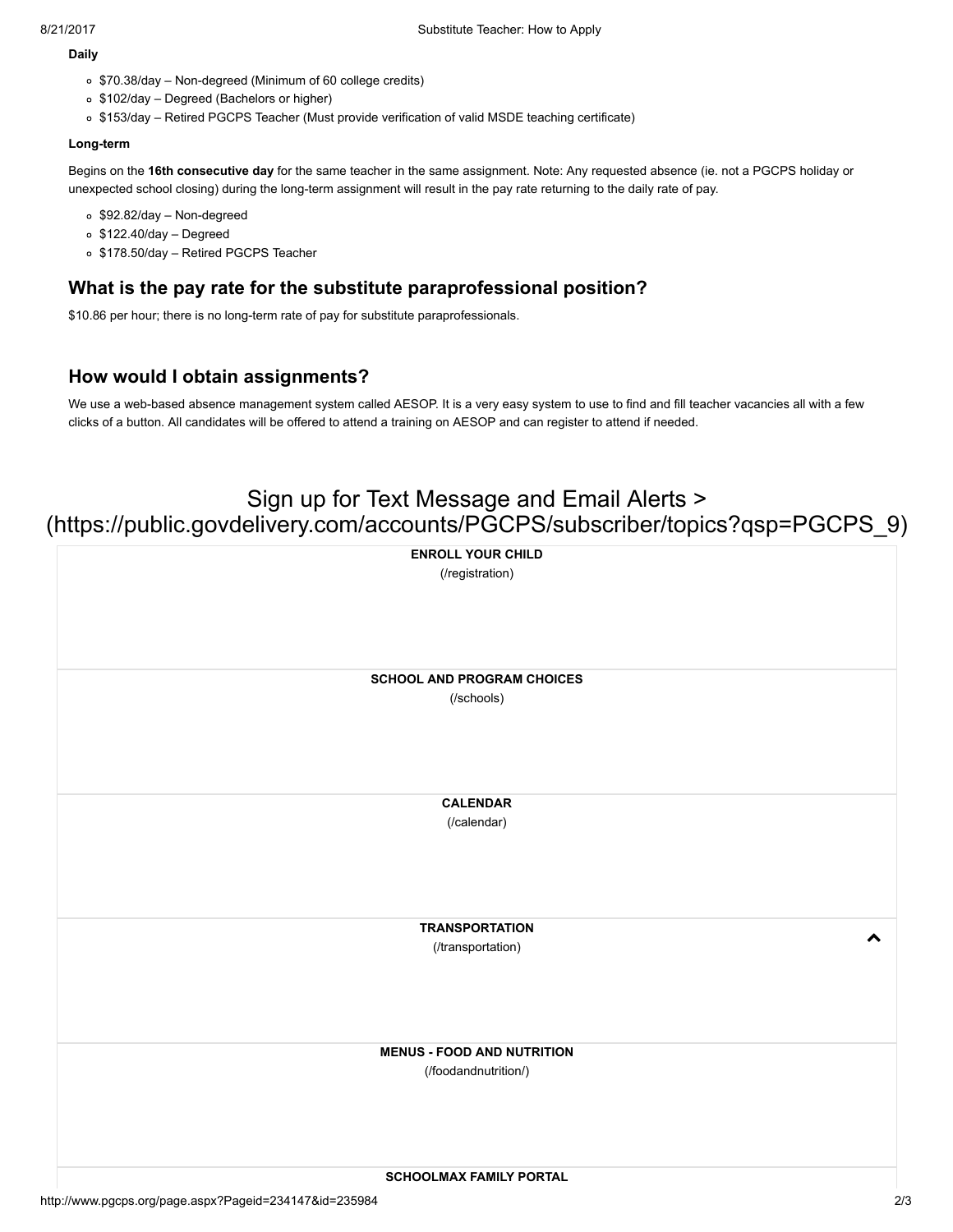#### Daily

- \$70.38/day Non-degreed (Minimum of 60 college credits)
- o \$102/day Degreed (Bachelors or higher)
- \$153/day Retired PGCPS Teacher (Must provide verification of valid MSDE teaching certificate)

#### Long-term

Begins on the 16th consecutive day for the same teacher in the same assignment. Note: Any requested absence (ie. not a PGCPS holiday or unexpected school closing) during the long-term assignment will result in the pay rate returning to the daily rate of pay.

- \$92.82/day Non-degreed
- $\circ$  \$122.40/day Degreed
- o \$178.50/day Retired PGCPS Teacher

# What is the pay rate for the substitute paraprofessional position?

\$10.86 per hour; there is no long-term rate of pay for substitute paraprofessionals.

# How would I obtain assignments?

We use a web-based absence management system called AESOP. It is a very easy system to use to find and fill teacher vacancies all with a few clicks of a button. All candidates will be offered to attend a training on AESOP and can register to attend if needed.

# Sign up for Text Message and Email Alerts > [\(https://public.govdelivery.com/accounts/PGCPS/subscriber/topics?qsp=PGCPS\\_9\)](https://public.govdelivery.com/accounts/PGCPS/subscriber/topics?qsp=PGCPS_9)